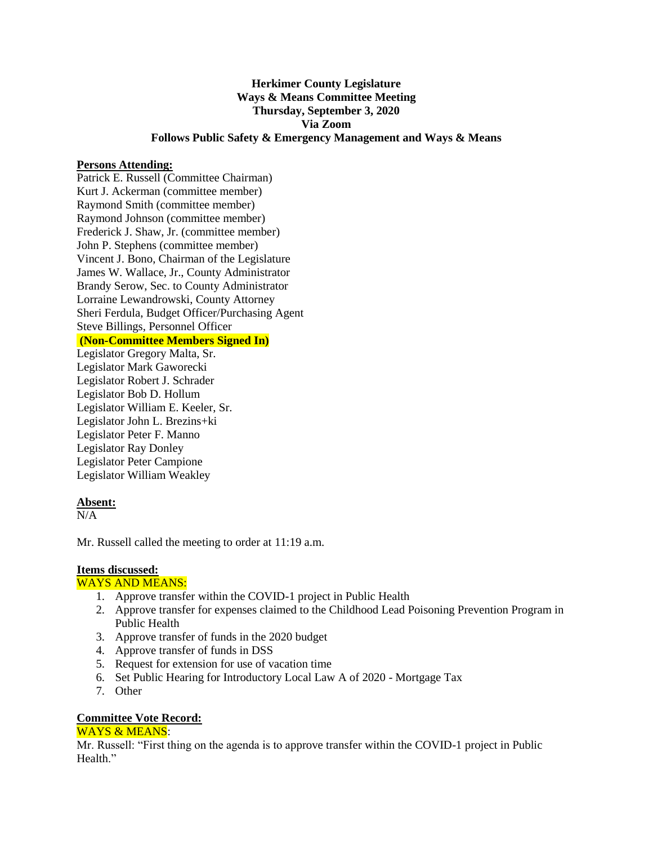### **Herkimer County Legislature Ways & Means Committee Meeting Thursday, September 3, 2020 Via Zoom Follows Public Safety & Emergency Management and Ways & Means**

#### **Persons Attending:**

Patrick E. Russell (Committee Chairman) Kurt J. Ackerman (committee member) Raymond Smith (committee member) Raymond Johnson (committee member) Frederick J. Shaw, Jr. (committee member) John P. Stephens (committee member) Vincent J. Bono, Chairman of the Legislature James W. Wallace, Jr., County Administrator Brandy Serow, Sec. to County Administrator Lorraine Lewandrowski, County Attorney Sheri Ferdula, Budget Officer/Purchasing Agent Steve Billings, Personnel Officer

# **(Non-Committee Members Signed In)**

Legislator Gregory Malta, Sr. Legislator Mark Gaworecki Legislator Robert J. Schrader Legislator Bob D. Hollum Legislator William E. Keeler, Sr. Legislator John L. Brezins+ki Legislator Peter F. Manno Legislator Ray Donley Legislator Peter Campione Legislator William Weakley

### **Absent:**

 $N/A$ 

Mr. Russell called the meeting to order at 11:19 a.m.

## **Items discussed:**

### WAYS AND MEANS:

- 1. Approve transfer within the COVID-1 project in Public Health
- 2. Approve transfer for expenses claimed to the Childhood Lead Poisoning Prevention Program in Public Health
- 3. Approve transfer of funds in the 2020 budget
- 4. Approve transfer of funds in DSS
- 5. Request for extension for use of vacation time
- 6. Set Public Hearing for Introductory Local Law A of 2020 Mortgage Tax
- 7. Other

### **Committee Vote Record:**

### WAYS & MEANS:

Mr. Russell: "First thing on the agenda is to approve transfer within the COVID-1 project in Public Health."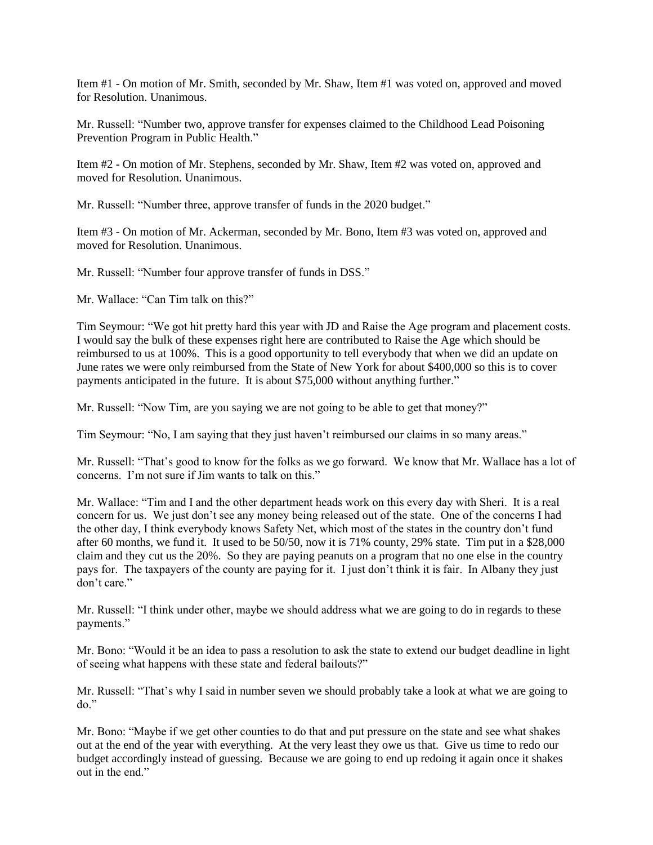Item #1 - On motion of Mr. Smith, seconded by Mr. Shaw, Item #1 was voted on, approved and moved for Resolution. Unanimous.

Mr. Russell: "Number two, approve transfer for expenses claimed to the Childhood Lead Poisoning Prevention Program in Public Health."

Item #2 - On motion of Mr. Stephens, seconded by Mr. Shaw, Item #2 was voted on, approved and moved for Resolution. Unanimous.

Mr. Russell: "Number three, approve transfer of funds in the 2020 budget."

Item #3 - On motion of Mr. Ackerman, seconded by Mr. Bono, Item #3 was voted on, approved and moved for Resolution. Unanimous.

Mr. Russell: "Number four approve transfer of funds in DSS."

Mr. Wallace: "Can Tim talk on this?"

Tim Seymour: "We got hit pretty hard this year with JD and Raise the Age program and placement costs. I would say the bulk of these expenses right here are contributed to Raise the Age which should be reimbursed to us at 100%. This is a good opportunity to tell everybody that when we did an update on June rates we were only reimbursed from the State of New York for about \$400,000 so this is to cover payments anticipated in the future. It is about \$75,000 without anything further."

Mr. Russell: "Now Tim, are you saying we are not going to be able to get that money?"

Tim Seymour: "No, I am saying that they just haven't reimbursed our claims in so many areas."

Mr. Russell: "That's good to know for the folks as we go forward. We know that Mr. Wallace has a lot of concerns. I'm not sure if Jim wants to talk on this."

Mr. Wallace: "Tim and I and the other department heads work on this every day with Sheri. It is a real concern for us. We just don't see any money being released out of the state. One of the concerns I had the other day, I think everybody knows Safety Net, which most of the states in the country don't fund after 60 months, we fund it. It used to be 50/50, now it is 71% county, 29% state. Tim put in a \$28,000 claim and they cut us the 20%. So they are paying peanuts on a program that no one else in the country pays for. The taxpayers of the county are paying for it. I just don't think it is fair. In Albany they just don't care."

Mr. Russell: "I think under other, maybe we should address what we are going to do in regards to these payments."

Mr. Bono: "Would it be an idea to pass a resolution to ask the state to extend our budget deadline in light of seeing what happens with these state and federal bailouts?"

Mr. Russell: "That's why I said in number seven we should probably take a look at what we are going to  $do.$ "

Mr. Bono: "Maybe if we get other counties to do that and put pressure on the state and see what shakes out at the end of the year with everything. At the very least they owe us that. Give us time to redo our budget accordingly instead of guessing. Because we are going to end up redoing it again once it shakes out in the end."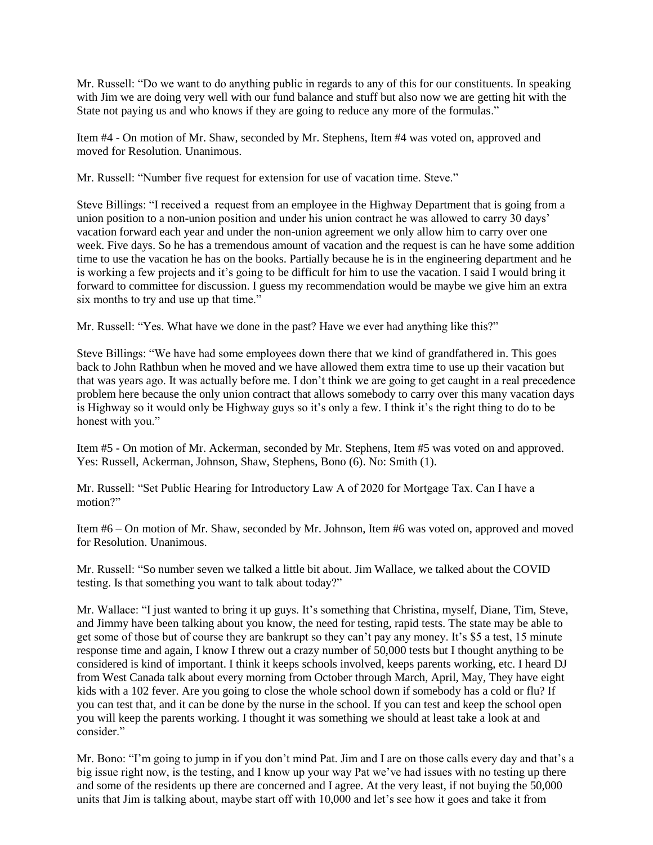Mr. Russell: "Do we want to do anything public in regards to any of this for our constituents. In speaking with Jim we are doing very well with our fund balance and stuff but also now we are getting hit with the State not paying us and who knows if they are going to reduce any more of the formulas."

Item #4 - On motion of Mr. Shaw, seconded by Mr. Stephens, Item #4 was voted on, approved and moved for Resolution. Unanimous.

Mr. Russell: "Number five request for extension for use of vacation time. Steve."

Steve Billings: "I received a request from an employee in the Highway Department that is going from a union position to a non-union position and under his union contract he was allowed to carry 30 days' vacation forward each year and under the non-union agreement we only allow him to carry over one week. Five days. So he has a tremendous amount of vacation and the request is can he have some addition time to use the vacation he has on the books. Partially because he is in the engineering department and he is working a few projects and it's going to be difficult for him to use the vacation. I said I would bring it forward to committee for discussion. I guess my recommendation would be maybe we give him an extra six months to try and use up that time."

Mr. Russell: "Yes. What have we done in the past? Have we ever had anything like this?"

Steve Billings: "We have had some employees down there that we kind of grandfathered in. This goes back to John Rathbun when he moved and we have allowed them extra time to use up their vacation but that was years ago. It was actually before me. I don't think we are going to get caught in a real precedence problem here because the only union contract that allows somebody to carry over this many vacation days is Highway so it would only be Highway guys so it's only a few. I think it's the right thing to do to be honest with you."

Item #5 - On motion of Mr. Ackerman, seconded by Mr. Stephens, Item #5 was voted on and approved. Yes: Russell, Ackerman, Johnson, Shaw, Stephens, Bono (6). No: Smith (1).

Mr. Russell: "Set Public Hearing for Introductory Law A of 2020 for Mortgage Tax. Can I have a motion?"

Item #6 – On motion of Mr. Shaw, seconded by Mr. Johnson, Item #6 was voted on, approved and moved for Resolution. Unanimous.

Mr. Russell: "So number seven we talked a little bit about. Jim Wallace, we talked about the COVID testing. Is that something you want to talk about today?"

Mr. Wallace: "I just wanted to bring it up guys. It's something that Christina, myself, Diane, Tim, Steve, and Jimmy have been talking about you know, the need for testing, rapid tests. The state may be able to get some of those but of course they are bankrupt so they can't pay any money. It's \$5 a test, 15 minute response time and again, I know I threw out a crazy number of 50,000 tests but I thought anything to be considered is kind of important. I think it keeps schools involved, keeps parents working, etc. I heard DJ from West Canada talk about every morning from October through March, April, May, They have eight kids with a 102 fever. Are you going to close the whole school down if somebody has a cold or flu? If you can test that, and it can be done by the nurse in the school. If you can test and keep the school open you will keep the parents working. I thought it was something we should at least take a look at and consider."

Mr. Bono: "I'm going to jump in if you don't mind Pat. Jim and I are on those calls every day and that's a big issue right now, is the testing, and I know up your way Pat we've had issues with no testing up there and some of the residents up there are concerned and I agree. At the very least, if not buying the 50,000 units that Jim is talking about, maybe start off with 10,000 and let's see how it goes and take it from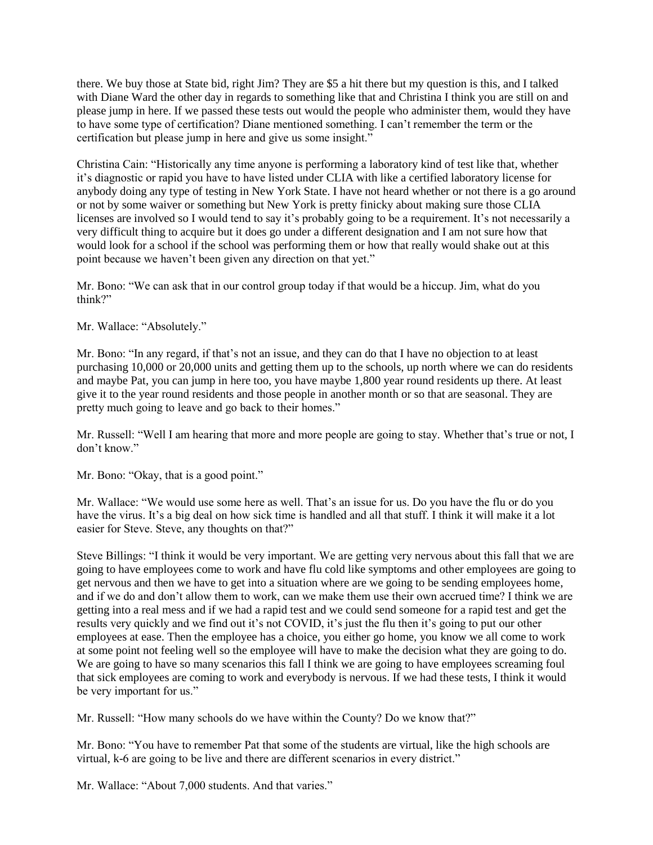there. We buy those at State bid, right Jim? They are \$5 a hit there but my question is this, and I talked with Diane Ward the other day in regards to something like that and Christina I think you are still on and please jump in here. If we passed these tests out would the people who administer them, would they have to have some type of certification? Diane mentioned something. I can't remember the term or the certification but please jump in here and give us some insight."

Christina Cain: "Historically any time anyone is performing a laboratory kind of test like that, whether it's diagnostic or rapid you have to have listed under CLIA with like a certified laboratory license for anybody doing any type of testing in New York State. I have not heard whether or not there is a go around or not by some waiver or something but New York is pretty finicky about making sure those CLIA licenses are involved so I would tend to say it's probably going to be a requirement. It's not necessarily a very difficult thing to acquire but it does go under a different designation and I am not sure how that would look for a school if the school was performing them or how that really would shake out at this point because we haven't been given any direction on that yet."

Mr. Bono: "We can ask that in our control group today if that would be a hiccup. Jim, what do you think?"

Mr. Wallace: "Absolutely."

Mr. Bono: "In any regard, if that's not an issue, and they can do that I have no objection to at least purchasing 10,000 or 20,000 units and getting them up to the schools, up north where we can do residents and maybe Pat, you can jump in here too, you have maybe 1,800 year round residents up there. At least give it to the year round residents and those people in another month or so that are seasonal. They are pretty much going to leave and go back to their homes."

Mr. Russell: "Well I am hearing that more and more people are going to stay. Whether that's true or not, I don't know."

Mr. Bono: "Okay, that is a good point."

Mr. Wallace: "We would use some here as well. That's an issue for us. Do you have the flu or do you have the virus. It's a big deal on how sick time is handled and all that stuff. I think it will make it a lot easier for Steve. Steve, any thoughts on that?"

Steve Billings: "I think it would be very important. We are getting very nervous about this fall that we are going to have employees come to work and have flu cold like symptoms and other employees are going to get nervous and then we have to get into a situation where are we going to be sending employees home, and if we do and don't allow them to work, can we make them use their own accrued time? I think we are getting into a real mess and if we had a rapid test and we could send someone for a rapid test and get the results very quickly and we find out it's not COVID, it's just the flu then it's going to put our other employees at ease. Then the employee has a choice, you either go home, you know we all come to work at some point not feeling well so the employee will have to make the decision what they are going to do. We are going to have so many scenarios this fall I think we are going to have employees screaming foul that sick employees are coming to work and everybody is nervous. If we had these tests, I think it would be very important for us."

Mr. Russell: "How many schools do we have within the County? Do we know that?"

Mr. Bono: "You have to remember Pat that some of the students are virtual, like the high schools are virtual, k-6 are going to be live and there are different scenarios in every district."

Mr. Wallace: "About 7,000 students. And that varies."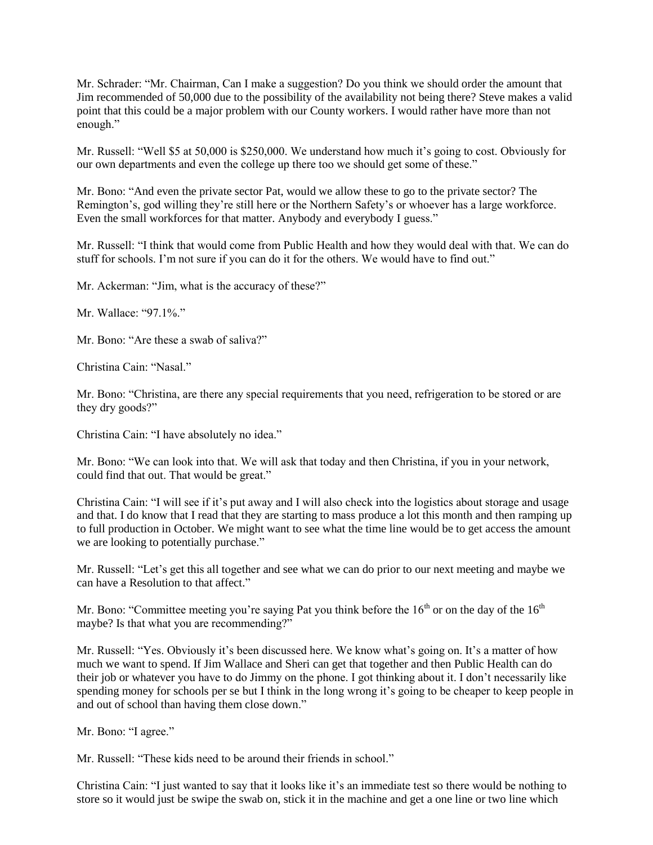Mr. Schrader: "Mr. Chairman, Can I make a suggestion? Do you think we should order the amount that Jim recommended of 50,000 due to the possibility of the availability not being there? Steve makes a valid point that this could be a major problem with our County workers. I would rather have more than not enough."

Mr. Russell: "Well \$5 at 50,000 is \$250,000. We understand how much it's going to cost. Obviously for our own departments and even the college up there too we should get some of these."

Mr. Bono: "And even the private sector Pat, would we allow these to go to the private sector? The Remington's, god willing they're still here or the Northern Safety's or whoever has a large workforce. Even the small workforces for that matter. Anybody and everybody I guess."

Mr. Russell: "I think that would come from Public Health and how they would deal with that. We can do stuff for schools. I'm not sure if you can do it for the others. We would have to find out."

Mr. Ackerman: "Jim, what is the accuracy of these?"

Mr. Wallace: "97.1%."

Mr. Bono: "Are these a swab of saliva?"

Christina Cain: "Nasal."

Mr. Bono: "Christina, are there any special requirements that you need, refrigeration to be stored or are they dry goods?"

Christina Cain: "I have absolutely no idea."

Mr. Bono: "We can look into that. We will ask that today and then Christina, if you in your network, could find that out. That would be great."

Christina Cain: "I will see if it's put away and I will also check into the logistics about storage and usage and that. I do know that I read that they are starting to mass produce a lot this month and then ramping up to full production in October. We might want to see what the time line would be to get access the amount we are looking to potentially purchase."

Mr. Russell: "Let's get this all together and see what we can do prior to our next meeting and maybe we can have a Resolution to that affect."

Mr. Bono: "Committee meeting you're saying Pat you think before the  $16<sup>th</sup>$  or on the day of the  $16<sup>th</sup>$ maybe? Is that what you are recommending?"

Mr. Russell: "Yes. Obviously it's been discussed here. We know what's going on. It's a matter of how much we want to spend. If Jim Wallace and Sheri can get that together and then Public Health can do their job or whatever you have to do Jimmy on the phone. I got thinking about it. I don't necessarily like spending money for schools per se but I think in the long wrong it's going to be cheaper to keep people in and out of school than having them close down."

Mr. Bono: "I agree."

Mr. Russell: "These kids need to be around their friends in school."

Christina Cain: "I just wanted to say that it looks like it's an immediate test so there would be nothing to store so it would just be swipe the swab on, stick it in the machine and get a one line or two line which